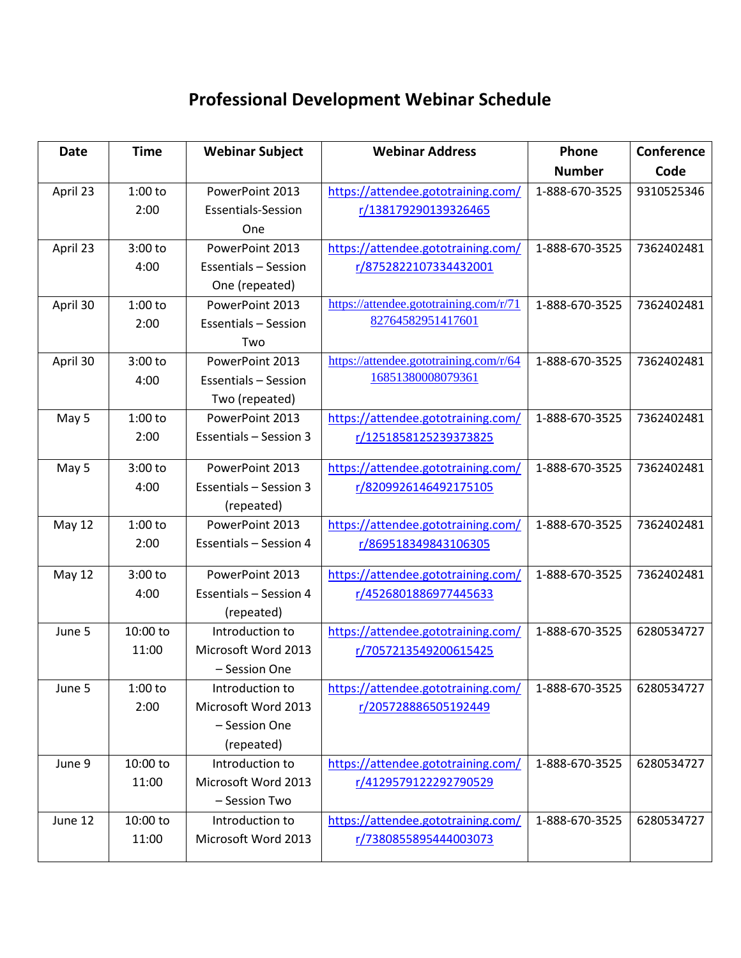## **Professional Development Webinar Schedule**

| <b>Date</b> | <b>Time</b> | <b>Webinar Subject</b>        | <b>Webinar Address</b>                 | Phone          | Conference |
|-------------|-------------|-------------------------------|----------------------------------------|----------------|------------|
|             |             |                               |                                        | <b>Number</b>  | Code       |
| April 23    | $1:00$ to   | PowerPoint 2013               | https://attendee.gototraining.com/     | 1-888-670-3525 | 9310525346 |
|             | 2:00        | <b>Essentials-Session</b>     | r/138179290139326465                   |                |            |
|             |             | One                           |                                        |                |            |
| April 23    | 3:00 to     | PowerPoint 2013               | https://attendee.gototraining.com/     | 1-888-670-3525 | 7362402481 |
|             | 4:00        | <b>Essentials - Session</b>   | r/8752822107334432001                  |                |            |
|             |             | One (repeated)                |                                        |                |            |
| April 30    | $1:00$ to   | PowerPoint 2013               | https://attendee.gototraining.com/r/71 | 1-888-670-3525 | 7362402481 |
|             | 2:00        | <b>Essentials - Session</b>   | 82764582951417601                      |                |            |
|             |             | Two                           |                                        |                |            |
| April 30    | 3:00 to     | PowerPoint 2013               | https://attendee.gototraining.com/r/64 | 1-888-670-3525 | 7362402481 |
|             | 4:00        | <b>Essentials - Session</b>   | 16851380008079361                      |                |            |
|             |             | Two (repeated)                |                                        |                |            |
| May 5       | $1:00$ to   | PowerPoint 2013               | https://attendee.gototraining.com/     | 1-888-670-3525 | 7362402481 |
|             | 2:00        | <b>Essentials - Session 3</b> | r/1251858125239373825                  |                |            |
|             |             |                               |                                        |                |            |
| May 5       | 3:00 to     | PowerPoint 2013               | https://attendee.gototraining.com/     | 1-888-670-3525 | 7362402481 |
|             | 4:00        | Essentials - Session 3        | r/8209926146492175105                  |                |            |
|             |             | (repeated)                    |                                        |                |            |
| May 12      | $1:00$ to   | PowerPoint 2013               | https://attendee.gototraining.com/     | 1-888-670-3525 | 7362402481 |
|             | 2:00        | Essentials - Session 4        | r/869518349843106305                   |                |            |
| May 12      | 3:00 to     | PowerPoint 2013               | https://attendee.gototraining.com/     | 1-888-670-3525 | 7362402481 |
|             | 4:00        | <b>Essentials - Session 4</b> | r/4526801886977445633                  |                |            |
|             |             | (repeated)                    |                                        |                |            |
| June 5      | 10:00 to    | Introduction to               | https://attendee.gototraining.com/     | 1-888-670-3525 | 6280534727 |
|             | 11:00       | Microsoft Word 2013           | r/7057213549200615425                  |                |            |
|             |             | - Session One                 |                                        |                |            |
| June 5      | $1:00$ to   | Introduction to               | https://attendee.gototraining.com/     | 1-888-670-3525 | 6280534727 |
|             | 2:00        | Microsoft Word 2013           | r/205728886505192449                   |                |            |
|             |             | - Session One                 |                                        |                |            |
|             |             | (repeated)                    |                                        |                |            |
| June 9      | 10:00 to    | Introduction to               | https://attendee.gototraining.com/     | 1-888-670-3525 | 6280534727 |
|             | 11:00       | Microsoft Word 2013           | r/4129579122292790529                  |                |            |
|             |             | - Session Two                 |                                        |                |            |
| June 12     | 10:00 to    | Introduction to               | https://attendee.gototraining.com/     | 1-888-670-3525 | 6280534727 |
|             | 11:00       | Microsoft Word 2013           | r/7380855895444003073                  |                |            |
|             |             |                               |                                        |                |            |